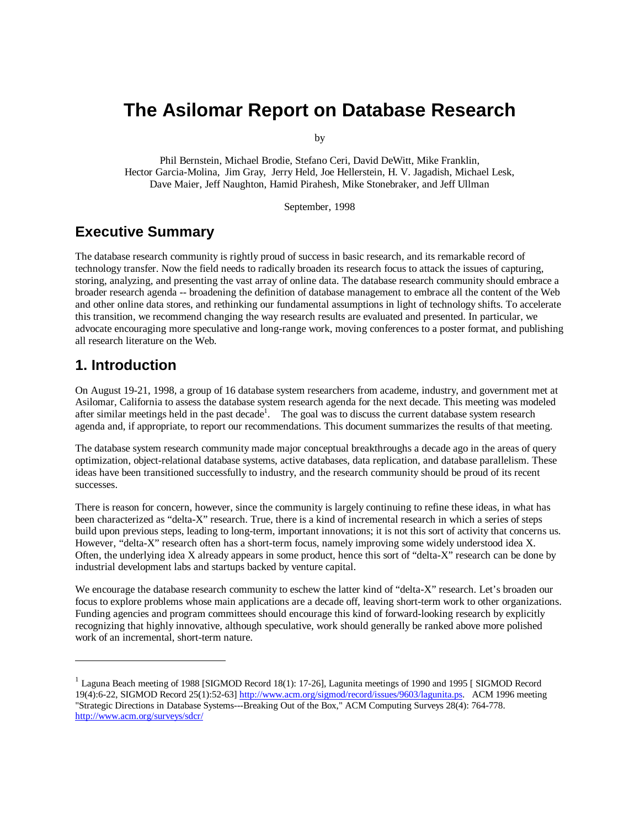# **The Asilomar Report on Database Research**

by

Phil Bernstein, Michael Brodie, Stefano Ceri, David DeWitt, Mike Franklin, Hector Garcia-Molina, Jim Gray, Jerry Held, Joe Hellerstein, H. V. Jagadish, Michael Lesk, Dave Maier, Jeff Naughton, Hamid Pirahesh, Mike Stonebraker, and Jeff Ullman

September, 1998

### **Executive Summary**

The database research community is rightly proud of success in basic research, and its remarkable record of technology transfer. Now the field needs to radically broaden its research focus to attack the issues of capturing, storing, analyzing, and presenting the vast array of online data. The database research community should embrace a broader research agenda -- broadening the definition of database management to embrace all the content of the Web and other online data stores, and rethinking our fundamental assumptions in light of technology shifts. To accelerate this transition, we recommend changing the way research results are evaluated and presented. In particular, we advocate encouraging more speculative and long-range work, moving conferences to a poster format, and publishing all research literature on the Web.

### **1. Introduction**

1

On August 19-21, 1998, a group of 16 database system researchers from academe, industry, and government met at Asilomar, California to assess the database system research agenda for the next decade. This meeting was modeled after similar meetings held in the past decade<sup>1</sup>. The goal was to discuss the current database system research agenda and, if appropriate, to report our recommendations. This document summarizes the results of that meeting.

The database system research community made major conceptual breakthroughs a decade ago in the areas of query optimization, object-relational database systems, active databases, data replication, and database parallelism. These ideas have been transitioned successfully to industry, and the research community should be proud of its recent successes.

There is reason for concern, however, since the community is largely continuing to refine these ideas, in what has been characterized as "delta-X" research. True, there is a kind of incremental research in which a series of steps build upon previous steps, leading to long-term, important innovations; it is not this sort of activity that concerns us. However, "delta-X" research often has a short-term focus, namely improving some widely understood idea X. Often, the underlying idea X already appears in some product, hence this sort of "delta-X" research can be done by industrial development labs and startups backed by venture capital.

We encourage the database research community to eschew the latter kind of "delta-X" research. Let's broaden our focus to explore problems whose main applications are a decade off, leaving short-term work to other organizations. Funding agencies and program committees should encourage this kind of forward-looking research by explicitly recognizing that highly innovative, although speculative, work should generally be ranked above more polished work of an incremental, short-term nature.

<sup>&</sup>lt;sup>1</sup> Laguna Beach meeting of 1988 [SIGMOD Record 18(1): 17-26], Lagunita meetings of 1990 and 1995 [SIGMOD Record 19(4):6-22, SIGMOD Record 25(1):52-63] http://www.acm.org/sigmod/record/issues/9603/lagunita.ps. ACM 1996 meeting "Strategic Directions in Database Systems---Breaking Out of the Box," ACM Computing Surveys 28(4): 764-778. http://www.acm.org/surveys/sdcr/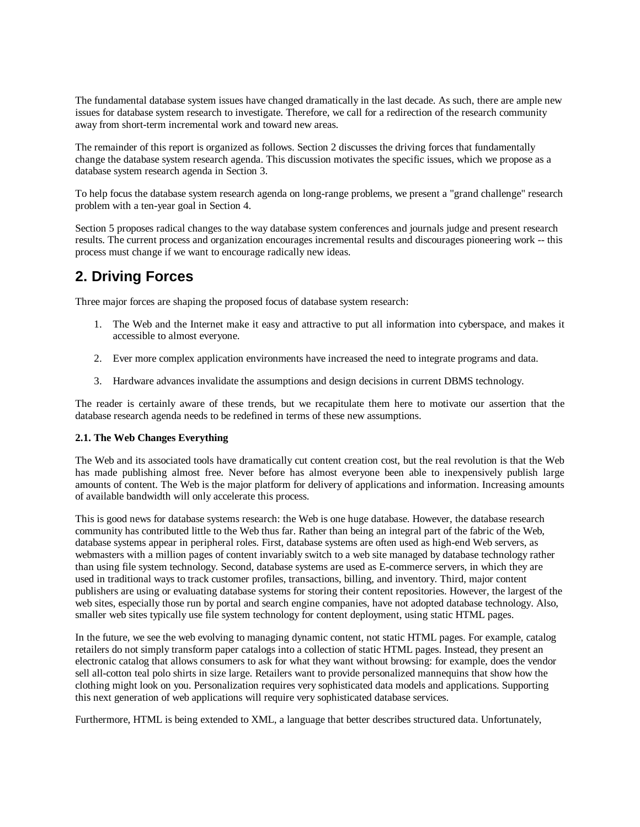The fundamental database system issues have changed dramatically in the last decade. As such, there are ample new issues for database system research to investigate. Therefore, we call for a redirection of the research community away from short-term incremental work and toward new areas.

The remainder of this report is organized as follows. Section 2 discusses the driving forces that fundamentally change the database system research agenda. This discussion motivates the specific issues, which we propose as a database system research agenda in Section 3.

To help focus the database system research agenda on long-range problems, we present a "grand challenge" research problem with a ten-year goal in Section 4.

Section 5 proposes radical changes to the way database system conferences and journals judge and present research results. The current process and organization encourages incremental results and discourages pioneering work -- this process must change if we want to encourage radically new ideas.

## **2. Driving Forces**

Three major forces are shaping the proposed focus of database system research:

- 1. The Web and the Internet make it easy and attractive to put all information into cyberspace, and makes it accessible to almost everyone.
- 2. Ever more complex application environments have increased the need to integrate programs and data.
- 3. Hardware advances invalidate the assumptions and design decisions in current DBMS technology.

The reader is certainly aware of these trends, but we recapitulate them here to motivate our assertion that the database research agenda needs to be redefined in terms of these new assumptions.

#### **2.1. The Web Changes Everything**

The Web and its associated tools have dramatically cut content creation cost, but the real revolution is that the Web has made publishing almost free. Never before has almost everyone been able to inexpensively publish large amounts of content. The Web is the major platform for delivery of applications and information. Increasing amounts of available bandwidth will only accelerate this process.

This is good news for database systems research: the Web is one huge database. However, the database research community has contributed little to the Web thus far. Rather than being an integral part of the fabric of the Web, database systems appear in peripheral roles. First, database systems are often used as high-end Web servers, as webmasters with a million pages of content invariably switch to a web site managed by database technology rather than using file system technology. Second, database systems are used as E-commerce servers, in which they are used in traditional ways to track customer profiles, transactions, billing, and inventory. Third, major content publishers are using or evaluating database systems for storing their content repositories. However, the largest of the web sites, especially those run by portal and search engine companies, have not adopted database technology. Also, smaller web sites typically use file system technology for content deployment, using static HTML pages.

In the future, we see the web evolving to managing dynamic content, not static HTML pages. For example, catalog retailers do not simply transform paper catalogs into a collection of static HTML pages. Instead, they present an electronic catalog that allows consumers to ask for what they want without browsing: for example, does the vendor sell all-cotton teal polo shirts in size large. Retailers want to provide personalized mannequins that show how the clothing might look on you. Personalization requires very sophisticated data models and applications. Supporting this next generation of web applications will require very sophisticated database services.

Furthermore, HTML is being extended to XML, a language that better describes structured data. Unfortunately,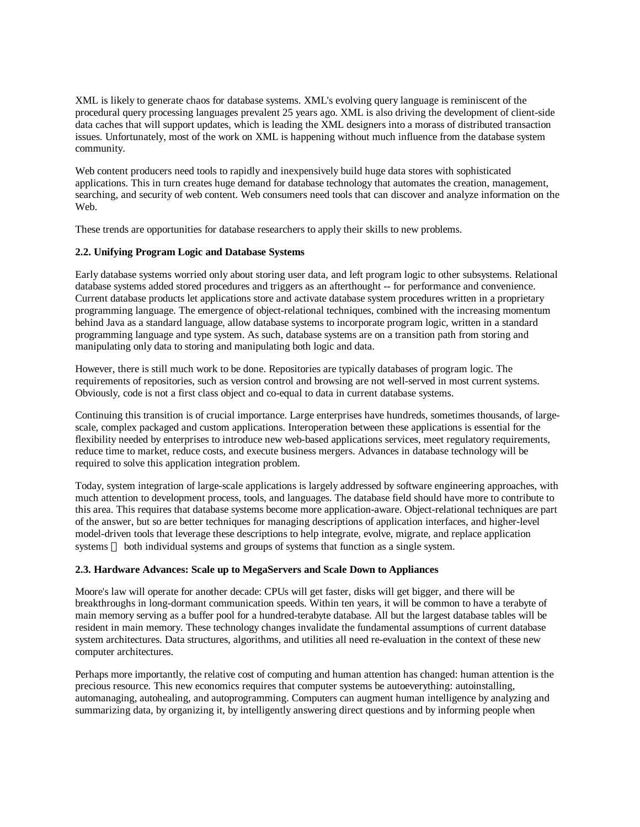XML is likely to generate chaos for database systems. XML's evolving query language is reminiscent of the procedural query processing languages prevalent 25 years ago. XML is also driving the development of client-side data caches that will support updates, which is leading the XML designers into a morass of distributed transaction issues. Unfortunately, most of the work on XML is happening without much influence from the database system community.

Web content producers need tools to rapidly and inexpensively build huge data stores with sophisticated applications. This in turn creates huge demand for database technology that automates the creation, management, searching, and security of web content. Web consumers need tools that can discover and analyze information on the Web.

These trends are opportunities for database researchers to apply their skills to new problems.

#### **2.2. Unifying Program Logic and Database Systems**

Early database systems worried only about storing user data, and left program logic to other subsystems. Relational database systems added stored procedures and triggers as an afterthought -- for performance and convenience. Current database products let applications store and activate database system procedures written in a proprietary programming language. The emergence of object-relational techniques, combined with the increasing momentum behind Java as a standard language, allow database systems to incorporate program logic, written in a standard programming language and type system. As such, database systems are on a transition path from storing and manipulating only data to storing and manipulating both logic and data.

However, there is still much work to be done. Repositories are typically databases of program logic. The requirements of repositories, such as version control and browsing are not well-served in most current systems. Obviously, code is not a first class object and co-equal to data in current database systems.

Continuing this transition is of crucial importance. Large enterprises have hundreds, sometimes thousands, of largescale, complex packaged and custom applications. Interoperation between these applications is essential for the flexibility needed by enterprises to introduce new web-based applications services, meet regulatory requirements, reduce time to market, reduce costs, and execute business mergers. Advances in database technology will be required to solve this application integration problem.

Today, system integration of large-scale applications is largely addressed by software engineering approaches, with much attention to development process, tools, and languages. The database field should have more to contribute to this area. This requires that database systems become more application-aware. Object-relational techniques are part of the answer, but so are better techniques for managing descriptions of application interfaces, and higher-level model-driven tools that leverage these descriptions to help integrate, evolve, migrate, and replace application systems — both individual systems and groups of systems that function as a single system.

#### **2.3. Hardware Advances: Scale up to MegaServers and Scale Down to Appliances**

Moore's law will operate for another decade: CPUs will get faster, disks will get bigger, and there will be breakthroughs in long-dormant communication speeds. Within ten years, it will be common to have a terabyte of main memory serving as a buffer pool for a hundred-terabyte database. All but the largest database tables will be resident in main memory. These technology changes invalidate the fundamental assumptions of current database system architectures. Data structures, algorithms, and utilities all need re-evaluation in the context of these new computer architectures.

Perhaps more importantly, the relative cost of computing and human attention has changed: human attention is the precious resource. This new economics requires that computer systems be autoeverything: autoinstalling, automanaging, autohealing, and autoprogramming. Computers can augment human intelligence by analyzing and summarizing data, by organizing it, by intelligently answering direct questions and by informing people when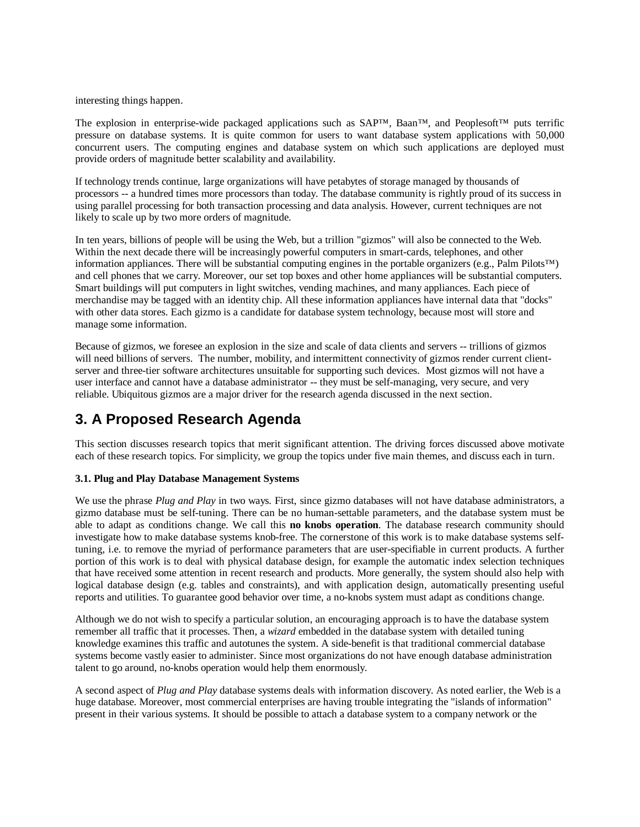interesting things happen.

The explosion in enterprise-wide packaged applications such as SAP™ , Baan™ , and Peoplesoft™ puts terrific pressure on database systems. It is quite common for users to want database system applications with 50,000 concurrent users. The computing engines and database system on which such applications are deployed must provide orders of magnitude better scalability and availability.

If technology trends continue, large organizations will have petabytes of storage managed by thousands of processors -- a hundred times more processors than today. The database community is rightly proud of its success in using parallel processing for both transaction processing and data analysis. However, current techniques are not likely to scale up by two more orders of magnitude.

In ten years, billions of people will be using the Web, but a trillion "gizmos" will also be connected to the Web. Within the next decade there will be increasingly powerful computers in smart-cards, telephones, and other information appliances. There will be substantial computing engines in the portable organizers (e.g., Palm Pilots<sup>™</sup>) and cell phones that we carry. Moreover, our set top boxes and other home appliances will be substantial computers. Smart buildings will put computers in light switches, vending machines, and many appliances. Each piece of merchandise may be tagged with an identity chip. All these information appliances have internal data that "docks" with other data stores. Each gizmo is a candidate for database system technology, because most will store and manage some information.

Because of gizmos, we foresee an explosion in the size and scale of data clients and servers -- trillions of gizmos will need billions of servers. The number, mobility, and intermittent connectivity of gizmos render current clientserver and three-tier software architectures unsuitable for supporting such devices. Most gizmos will not have a user interface and cannot have a database administrator -- they must be self-managing, very secure, and very reliable. Ubiquitous gizmos are a major driver for the research agenda discussed in the next section.

### **3. A Proposed Research Agenda**

This section discusses research topics that merit significant attention. The driving forces discussed above motivate each of these research topics. For simplicity, we group the topics under five main themes, and discuss each in turn.

#### **3.1. Plug and Play Database Management Systems**

We use the phrase *Plug and Play* in two ways. First, since gizmo databases will not have database administrators, a gizmo database must be self-tuning. There can be no human-settable parameters, and the database system must be able to adapt as conditions change. We call this **no knobs operation**. The database research community should investigate how to make database systems knob-free. The cornerstone of this work is to make database systems selftuning, i.e. to remove the myriad of performance parameters that are user-specifiable in current products. A further portion of this work is to deal with physical database design, for example the automatic index selection techniques that have received some attention in recent research and products. More generally, the system should also help with logical database design (e.g. tables and constraints), and with application design, automatically presenting useful reports and utilities. To guarantee good behavior over time, a no-knobs system must adapt as conditions change.

Although we do not wish to specify a particular solution, an encouraging approach is to have the database system remember all traffic that it processes. Then, a *wizard* embedded in the database system with detailed tuning knowledge examines this traffic and autotunes the system. A side-benefit is that traditional commercial database systems become vastly easier to administer. Since most organizations do not have enough database administration talent to go around, no-knobs operation would help them enormously.

A second aspect of *Plug and Play* database systems deals with information discovery. As noted earlier, the Web is a huge database. Moreover, most commercial enterprises are having trouble integrating the "islands of information" present in their various systems. It should be possible to attach a database system to a company network or the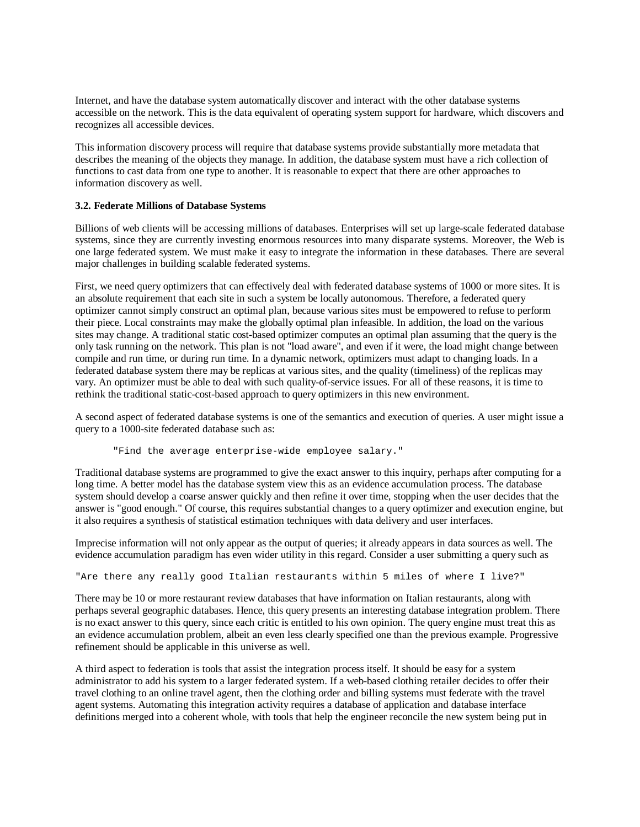Internet, and have the database system automatically discover and interact with the other database systems accessible on the network. This is the data equivalent of operating system support for hardware, which discovers and recognizes all accessible devices.

This information discovery process will require that database systems provide substantially more metadata that describes the meaning of the objects they manage. In addition, the database system must have a rich collection of functions to cast data from one type to another. It is reasonable to expect that there are other approaches to information discovery as well.

#### **3.2. Federate Millions of Database Systems**

Billions of web clients will be accessing millions of databases. Enterprises will set up large-scale federated database systems, since they are currently investing enormous resources into many disparate systems. Moreover, the Web is one large federated system. We must make it easy to integrate the information in these databases. There are several major challenges in building scalable federated systems.

First, we need query optimizers that can effectively deal with federated database systems of 1000 or more sites. It is an absolute requirement that each site in such a system be locally autonomous. Therefore, a federated query optimizer cannot simply construct an optimal plan, because various sites must be empowered to refuse to perform their piece. Local constraints may make the globally optimal plan infeasible. In addition, the load on the various sites may change. A traditional static cost-based optimizer computes an optimal plan assuming that the query is the only task running on the network. This plan is not "load aware", and even if it were, the load might change between compile and run time, or during run time. In a dynamic network, optimizers must adapt to changing loads. In a federated database system there may be replicas at various sites, and the quality (timeliness) of the replicas may vary. An optimizer must be able to deal with such quality-of-service issues. For all of these reasons, it is time to rethink the traditional static-cost-based approach to query optimizers in this new environment.

A second aspect of federated database systems is one of the semantics and execution of queries. A user might issue a query to a 1000-site federated database such as:

"Find the average enterprise-wide employee salary."

Traditional database systems are programmed to give the exact answer to this inquiry, perhaps after computing for a long time. A better model has the database system view this as an evidence accumulation process. The database system should develop a coarse answer quickly and then refine it over time, stopping when the user decides that the answer is "good enough." Of course, this requires substantial changes to a query optimizer and execution engine, but it also requires a synthesis of statistical estimation techniques with data delivery and user interfaces.

Imprecise information will not only appear as the output of queries; it already appears in data sources as well. The evidence accumulation paradigm has even wider utility in this regard. Consider a user submitting a query such as

"Are there any really good Italian restaurants within 5 miles of where I live?"

There may be 10 or more restaurant review databases that have information on Italian restaurants, along with perhaps several geographic databases. Hence, this query presents an interesting database integration problem. There is no exact answer to this query, since each critic is entitled to his own opinion. The query engine must treat this as an evidence accumulation problem, albeit an even less clearly specified one than the previous example. Progressive refinement should be applicable in this universe as well.

A third aspect to federation is tools that assist the integration process itself. It should be easy for a system administrator to add his system to a larger federated system. If a web-based clothing retailer decides to offer their travel clothing to an online travel agent, then the clothing order and billing systems must federate with the travel agent systems. Automating this integration activity requires a database of application and database interface definitions merged into a coherent whole, with tools that help the engineer reconcile the new system being put in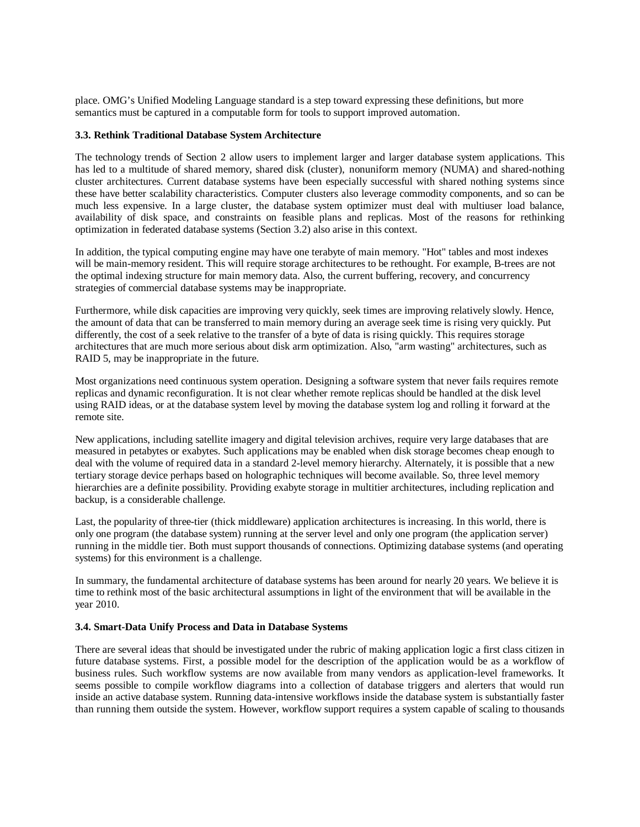place. OMG's Unified Modeling Language standard is a step toward expressing these definitions, but more semantics must be captured in a computable form for tools to support improved automation.

#### **3.3. Rethink Traditional Database System Architecture**

The technology trends of Section 2 allow users to implement larger and larger database system applications. This has led to a multitude of shared memory, shared disk (cluster), nonuniform memory (NUMA) and shared-nothing cluster architectures. Current database systems have been especially successful with shared nothing systems since these have better scalability characteristics. Computer clusters also leverage commodity components, and so can be much less expensive. In a large cluster, the database system optimizer must deal with multiuser load balance, availability of disk space, and constraints on feasible plans and replicas. Most of the reasons for rethinking optimization in federated database systems (Section 3.2) also arise in this context.

In addition, the typical computing engine may have one terabyte of main memory. "Hot" tables and most indexes will be main-memory resident. This will require storage architectures to be rethought. For example, B-trees are not the optimal indexing structure for main memory data. Also, the current buffering, recovery, and concurrency strategies of commercial database systems may be inappropriate.

Furthermore, while disk capacities are improving very quickly, seek times are improving relatively slowly. Hence, the amount of data that can be transferred to main memory during an average seek time is rising very quickly. Put differently, the cost of a seek relative to the transfer of a byte of data is rising quickly. This requires storage architectures that are much more serious about disk arm optimization. Also, "arm wasting" architectures, such as RAID 5, may be inappropriate in the future.

Most organizations need continuous system operation. Designing a software system that never fails requires remote replicas and dynamic reconfiguration. It is not clear whether remote replicas should be handled at the disk level using RAID ideas, or at the database system level by moving the database system log and rolling it forward at the remote site.

New applications, including satellite imagery and digital television archives, require very large databases that are measured in petabytes or exabytes. Such applications may be enabled when disk storage becomes cheap enough to deal with the volume of required data in a standard 2-level memory hierarchy. Alternately, it is possible that a new tertiary storage device perhaps based on holographic techniques will become available. So, three level memory hierarchies are a definite possibility. Providing exabyte storage in multitier architectures, including replication and backup, is a considerable challenge.

Last, the popularity of three-tier (thick middleware) application architectures is increasing. In this world, there is only one program (the database system) running at the server level and only one program (the application server) running in the middle tier. Both must support thousands of connections. Optimizing database systems (and operating systems) for this environment is a challenge.

In summary, the fundamental architecture of database systems has been around for nearly 20 years. We believe it is time to rethink most of the basic architectural assumptions in light of the environment that will be available in the year 2010.

#### **3.4. Smart-Data Unify Process and Data in Database Systems**

There are several ideas that should be investigated under the rubric of making application logic a first class citizen in future database systems. First, a possible model for the description of the application would be as a workflow of business rules. Such workflow systems are now available from many vendors as application-level frameworks. It seems possible to compile workflow diagrams into a collection of database triggers and alerters that would run inside an active database system. Running data-intensive workflows inside the database system is substantially faster than running them outside the system. However, workflow support requires a system capable of scaling to thousands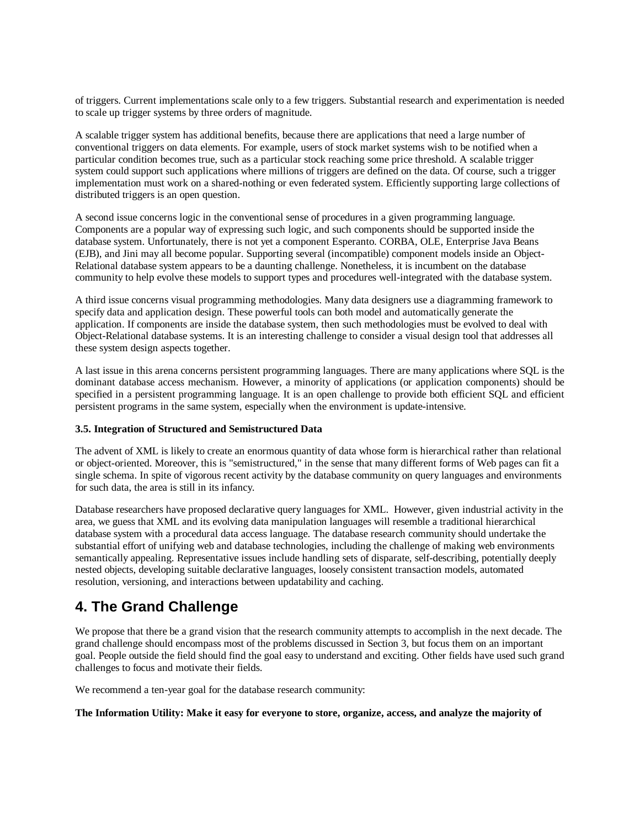of triggers. Current implementations scale only to a few triggers. Substantial research and experimentation is needed to scale up trigger systems by three orders of magnitude.

A scalable trigger system has additional benefits, because there are applications that need a large number of conventional triggers on data elements. For example, users of stock market systems wish to be notified when a particular condition becomes true, such as a particular stock reaching some price threshold. A scalable trigger system could support such applications where millions of triggers are defined on the data. Of course, such a trigger implementation must work on a shared-nothing or even federated system. Efficiently supporting large collections of distributed triggers is an open question.

A second issue concerns logic in the conventional sense of procedures in a given programming language. Components are a popular way of expressing such logic, and such components should be supported inside the database system. Unfortunately, there is not yet a component Esperanto. CORBA, OLE, Enterprise Java Beans (EJB), and Jini may all become popular. Supporting several (incompatible) component models inside an Object-Relational database system appears to be a daunting challenge. Nonetheless, it is incumbent on the database community to help evolve these models to support types and procedures well-integrated with the database system.

A third issue concerns visual programming methodologies. Many data designers use a diagramming framework to specify data and application design. These powerful tools can both model and automatically generate the application. If components are inside the database system, then such methodologies must be evolved to deal with Object-Relational database systems. It is an interesting challenge to consider a visual design tool that addresses all these system design aspects together.

A last issue in this arena concerns persistent programming languages. There are many applications where SQL is the dominant database access mechanism. However, a minority of applications (or application components) should be specified in a persistent programming language. It is an open challenge to provide both efficient SQL and efficient persistent programs in the same system, especially when the environment is update-intensive.

#### **3.5. Integration of Structured and Semistructured Data**

The advent of XML is likely to create an enormous quantity of data whose form is hierarchical rather than relational or object-oriented. Moreover, this is "semistructured," in the sense that many different forms of Web pages can fit a single schema. In spite of vigorous recent activity by the database community on query languages and environments for such data, the area is still in its infancy.

Database researchers have proposed declarative query languages for XML. However, given industrial activity in the area, we guess that XML and its evolving data manipulation languages will resemble a traditional hierarchical database system with a procedural data access language. The database research community should undertake the substantial effort of unifying web and database technologies, including the challenge of making web environments semantically appealing. Representative issues include handling sets of disparate, self-describing, potentially deeply nested objects, developing suitable declarative languages, loosely consistent transaction models, automated resolution, versioning, and interactions between updatability and caching.

### **4. The Grand Challenge**

We propose that there be a grand vision that the research community attempts to accomplish in the next decade. The grand challenge should encompass most of the problems discussed in Section 3, but focus them on an important goal. People outside the field should find the goal easy to understand and exciting. Other fields have used such grand challenges to focus and motivate their fields.

We recommend a ten-year goal for the database research community:

#### **The Information Utility: Make it easy for everyone to store, organize, access, and analyze the majority of**